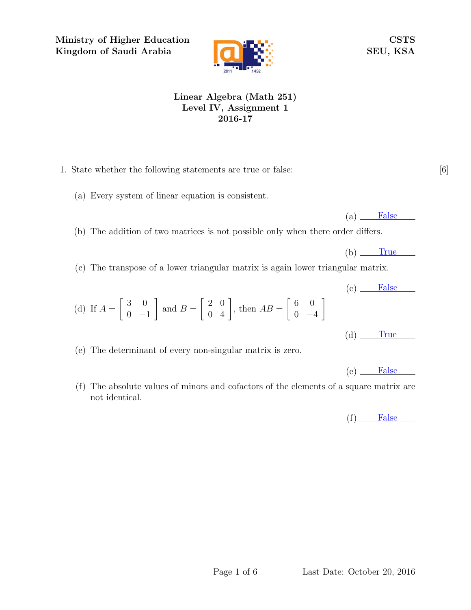Ministry of Higher Education Kingdom of Saudi Arabia



CSTS SEU, KSA

## Linear Algebra (Math 251) Level IV, Assignment 1 2016-17

- 1. State whether the following statements are true or false: [6]
	- (a) Every system of linear equation is consistent.

 $(a)$  False

 $(b)$  True

- (b) The addition of two matrices is not possible only when there order differs.
- (c) The transpose of a lower triangular matrix is again lower triangular matrix.
- (d) If  $A =$  $\begin{bmatrix} 3 & 0 \end{bmatrix}$  $0 -1$ 1 and  $B =$  $\begin{bmatrix} 2 & 0 \\ 0 & 4 \end{bmatrix}$ , then  $AB =$  6 0  $0 -4$ 1
- (e) The determinant of every non-singular matrix is zero.
- (f) The absolute values of minors and cofactors of the elements of a square matrix are not identical.

 $(f)$  False

 $(e)$  False

 $(c)$  False

 $(d)$  True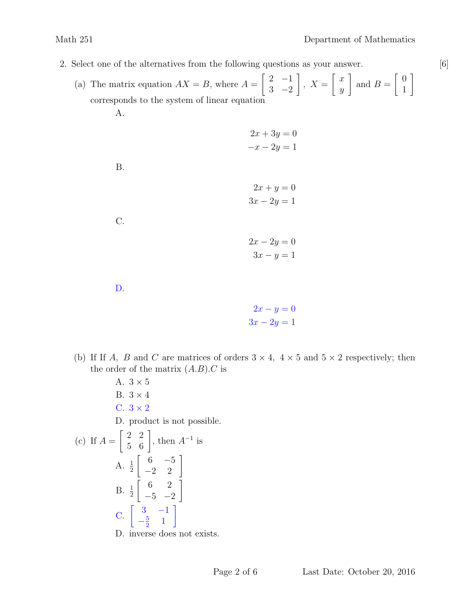2. Select one of the alternatives from the following questions as your answer. [6]

(a) The matrix equation  $AX = B$ , where  $A =$  $\begin{bmatrix} 2 & -1 \end{bmatrix}$  $3 -2$ 1  $, X =$  $\lceil x \rceil$  $\hat{y}$ 1 and  $B =$  $\begin{bmatrix} 0 \end{bmatrix}$ 1 1 corresponds to the system of linear equation A.

$$
2x + 3y = 0
$$
  

$$
-x - 2y = 1
$$

B.



C.

 $2x - 2y = 0$  $3x - y = 1$ 

D.

$$
2x - y = 0
$$

$$
3x - 2y = 1
$$

- (b) If If A, B and C are matrices of orders  $3 \times 4$ ,  $4 \times 5$  and  $5 \times 2$  respectively; then the order of the matrix  $(A.B).C$  is
- A.  $3 \times 5$ B.  $3 \times 4$ C.  $3 \times 2$ D. product is not possible. (c) If  $A =$  $\begin{bmatrix} 2 & 2 \\ 5 & 6 \end{bmatrix}$ , then  $A^{-1}$  is A.  $\frac{1}{2}$  $\left[\begin{array}{cc} 6 & -5 \\ -2 & 2 \end{array}\right]$  $B. \frac{1}{2}$  $\begin{bmatrix} 6 & 2 \end{bmatrix}$  $-5$   $-2$ 1  $C. \begin{bmatrix} 3 & -1 \\ 5 & 1 \end{bmatrix}$  $-\frac{5}{2}$  $\frac{5}{2}$  1 1 D. inverse does not exists.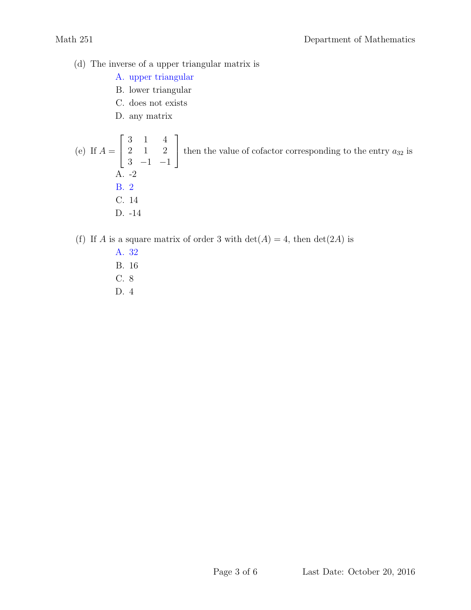- (d) The inverse of a upper triangular matrix is
	- A. upper triangular
	- B. lower triangular
	- C. does not exists
	- D. any matrix

(e) If  $A =$  $\sqrt{ }$  $\vert$ 3 1 4 2 1 2  $3 -1 -1$ 1 then the value of cofactor corresponding to the entry  $a_{32}$  is A. -2 B. 2 C. 14 D. -14

- (f) If A is a square matrix of order 3 with  $\det(A) = 4$ , then  $\det(2A)$  is
	- A. 32 B. 16
	- C. 8
	- D. 4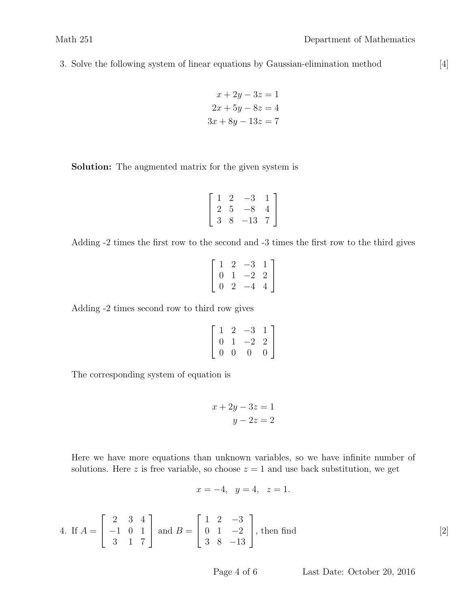3. Solve the following system of linear equations by Gaussian-elimination method [4]

$$
x + 2y - 3z = 1
$$

$$
2x + 5y - 8z = 4
$$

$$
3x + 8y - 13z = 7
$$

Solution: The augmented matrix for the given system is

$$
\left[\begin{array}{rrr} 1 & 2 & -3 & 1 \\ 2 & 5 & -8 & 4 \\ 3 & 8 & -13 & 7 \end{array}\right]
$$

Adding -2 times the first row to the second and -3 times the first row to the third gives

|  | $1 \t2$ | $-3$             | $\overline{1}$ |
|--|---------|------------------|----------------|
|  |         | $0 \t1 \t-2 \t2$ |                |
|  |         | $0 \t2 \t-4$     | $\overline{4}$ |

Adding -2 times second row to third row gives

$$
\left[\begin{array}{rrrr} 1 & 2 & -3 & 1 \\ 0 & 1 & -2 & 2 \\ 0 & 0 & 0 & 0 \end{array}\right]
$$

The corresponding system of equation is

$$
x + 2y - 3z = 1
$$

$$
y - 2z = 2
$$

Here we have more equations than unknown variables, so we have infinite number of solutions. Here z is free variable, so choose  $z = 1$  and use back substitution, we get

$$
x = -4
$$
,  $y = 4$ ,  $z = 1$ .

4. If 
$$
A = \begin{bmatrix} 2 & 3 & 4 \\ -1 & 0 & 1 \\ 3 & 1 & 7 \end{bmatrix}
$$
 and  $B = \begin{bmatrix} 1 & 2 & -3 \\ 0 & 1 & -2 \\ 3 & 8 & -13 \end{bmatrix}$ , then find [2]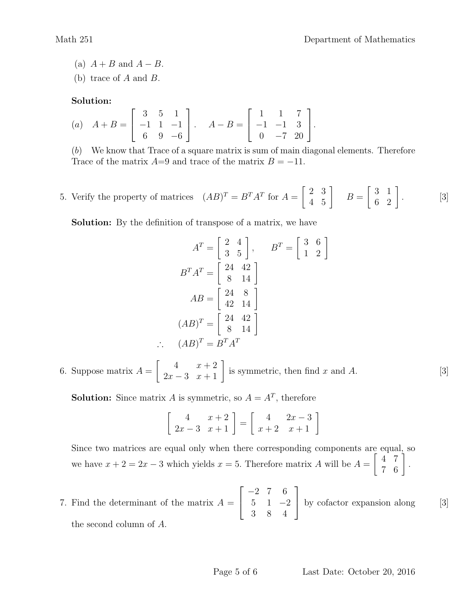- (a)  $A + B$  and  $A B$ .
- (b) trace of A and B.

Solution:

(a) 
$$
A+B = \begin{bmatrix} 3 & 5 & 1 \\ -1 & 1 & -1 \\ 6 & 9 & -6 \end{bmatrix}
$$
.  $A-B = \begin{bmatrix} 1 & 1 & 7 \\ -1 & -1 & 3 \\ 0 & -7 & 20 \end{bmatrix}$ .

(b) We know that Trace of a square matrix is sum of main diagonal elements. Therefore Trace of the matrix  $A=9$  and trace of the matrix  $B = -11$ .

5. Verify the property of matrices  $(AB)^T = B^T A^T$  for  $A = \begin{bmatrix} 2 & 3 \ 4 & 5 \end{bmatrix}$   $B = \begin{bmatrix} 3 & 1 \ 6 & 2 \end{bmatrix}$ . [3]  $\left[\begin{array}{cc} 2 & 3 \\ 4 & 5 \end{array}\right]$   $B=$  $\left[\begin{array}{cc} 3 & 1 \\ 6 & 2 \end{array}\right].$ 

Solution: By the definition of transpose of a matrix, we have

$$
AT = \begin{bmatrix} 2 & 4 \\ 3 & 5 \end{bmatrix}, \qquad BT = \begin{bmatrix} 3 & 6 \\ 1 & 2 \end{bmatrix}
$$

$$
BTAT = \begin{bmatrix} 24 & 42 \\ 8 & 14 \end{bmatrix}
$$

$$
AB = \begin{bmatrix} 24 & 8 \\ 42 & 14 \end{bmatrix}
$$

$$
(AB)T = \begin{bmatrix} 24 & 42 \\ 8 & 14 \end{bmatrix}
$$

$$
(AB)T = BTAT
$$

6. Suppose matrix  $A = \begin{bmatrix} 4 & x+2 \ 2x-3 & x+1 \end{bmatrix}$  is symmetric, then find x and A. [3]

**Solution:** Since matrix A is symmetric, so  $A = A^T$ , therefore

 $\therefore$ 

$$
\left[\begin{array}{cc} 4 & x+2 \\ 2x-3 & x+1 \end{array}\right] = \left[\begin{array}{cc} 4 & 2x-3 \\ x+2 & x+1 \end{array}\right]
$$

Since two matrices are equal only when there corresponding components are equal, so we have  $x + 2 = 2x - 3$  which yields  $x = 5$ . Therefore matrix A will be  $A =$  $\left[\begin{array}{cc} 4 & 7 \\ 7 & 6 \end{array}\right].$ 

7. Find the determinant of the matrix  $A = \begin{bmatrix} 5 & 1 & -2 \end{bmatrix}$  by cofactor expansion along [3]  $\sqrt{ }$  $\overline{1}$ −2 7 6  $5 \quad 1 \quad -2$ 3 8 4 1 by cofactor expansion along the second column of A.